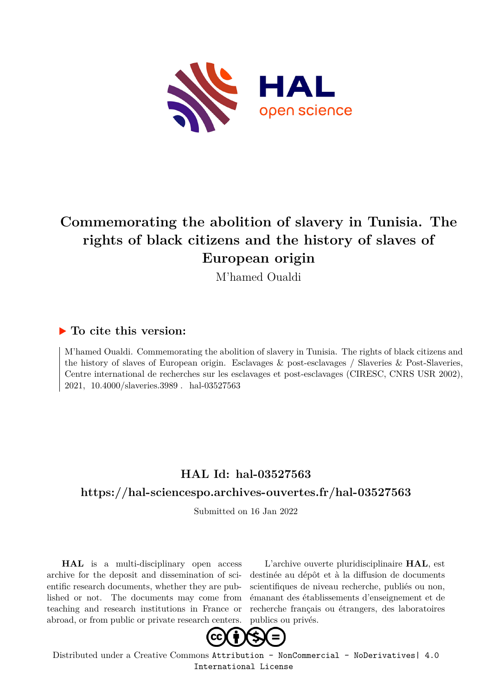

## **Commemorating the abolition of slavery in Tunisia. The rights of black citizens and the history of slaves of European origin**

M'hamed Oualdi

### **To cite this version:**

M'hamed Oualdi. Commemorating the abolition of slavery in Tunisia. The rights of black citizens and the history of slaves of European origin. Esclavages & post-esclavages / Slaveries & Post-Slaveries, Centre international de recherches sur les esclavages et post-esclavages (CIRESC, CNRS USR 2002), 2021, 10.4000/slaveries.3989 . hal-03527563

### **HAL Id: hal-03527563**

### **<https://hal-sciencespo.archives-ouvertes.fr/hal-03527563>**

Submitted on 16 Jan 2022

**HAL** is a multi-disciplinary open access archive for the deposit and dissemination of scientific research documents, whether they are published or not. The documents may come from teaching and research institutions in France or abroad, or from public or private research centers.

L'archive ouverte pluridisciplinaire **HAL**, est destinée au dépôt et à la diffusion de documents scientifiques de niveau recherche, publiés ou non, émanant des établissements d'enseignement et de recherche français ou étrangers, des laboratoires publics ou privés.



Distributed under a Creative Commons [Attribution - NonCommercial - NoDerivatives| 4.0](http://creativecommons.org/licenses/by-nc-nd/4.0/) [International License](http://creativecommons.org/licenses/by-nc-nd/4.0/)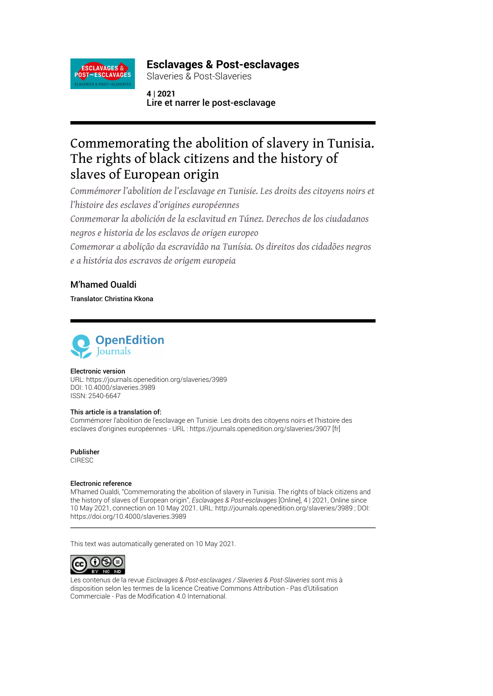

### **Esclavages & Post-esclavages**

Slaveries & Post-Slaveries

**4 | 2021** Lire et narrer le post-esclavage

### Commemorating the abolition of slavery in Tunisia. The rights of black citizens and the history of slaves of European origin

*Commémorer l'abolition de l'esclavage en Tunisie. Les droits des citoyens noirs et l'histoire des esclaves d'origines européennes Conmemorar la abolición de la esclavitud en Túnez. Derechos de los ciudadanos*

*negros e historia de los esclavos de origen europeo*

*Comemorar a abolição da escravidão na Tunísia. Os direitos dos cidadões negros e a história dos escravos de origem europeia*

### M'hamed Oualdi

Translator: Christina Kkona



#### Electronic version

URL:<https://journals.openedition.org/slaveries/3989> DOI: 10.4000/slaveries.3989 ISSN: 2540-6647

#### This article is a translation of:

Commémorer l'abolition de l'esclavage en Tunisie. Les droits des citoyens noirs et l'histoire des esclaves d'origines européennes - URL :<https://journals.openedition.org/slaveries/3907>[fr]

Publisher CIRESC

#### Electronic reference

M'hamed Oualdi, "Commemorating the abolition of slavery in Tunisia. The rights of black citizens and the history of slaves of European origin", *Esclavages & Post-esclavages* [Online], 4 | 2021, Online since 10 May 2021, connection on 10 May 2021. URL: http://journals.openedition.org/slaveries/3989 ; DOI: https://doi.org/10.4000/slaveries.3989

This text was automatically generated on 10 May 2021.



Les contenus de la revue *Esclavages & Post-esclavages / Slaveries & Post-Slaveries* sont mis à disposition selon les termes de la [licence Creative Commons Attribution - Pas d'Utilisation](http://creativecommons.org/licenses/by-nc-nd/4.0/) [Commerciale - Pas de Modi](http://creativecommons.org/licenses/by-nc-nd/4.0/)fication 4.0 International.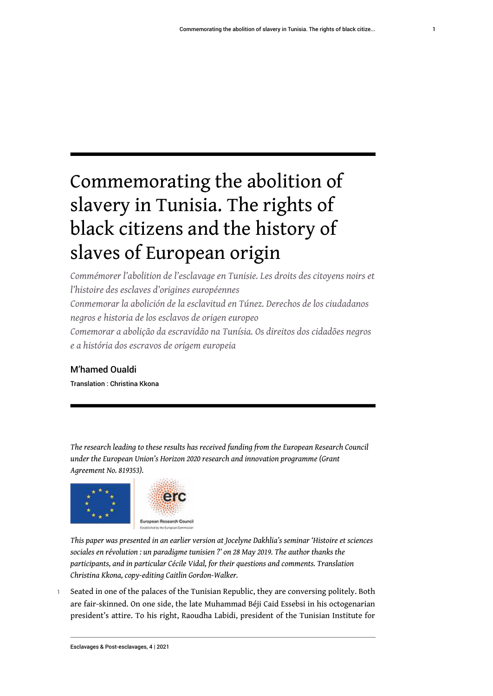# Commemorating the abolition of slavery in Tunisia. The rights of black citizens and the history of slaves of European origin

*Commémorer l'abolition de l'esclavage en Tunisie. Les droits des citoyens noirs et l'histoire des esclaves d'origines européennes Conmemorar la abolición de la esclavitud en Túnez. Derechos de los ciudadanos negros e historia de los esclavos de origen europeo Comemorar a abolição da escravidão na Tunísia. Os direitos dos cidadões negros e a história dos escravos de origem europeia*

### M'hamed Oualdi

Translation : Christina Kkona

*The research leading to these results has received funding from the European Research Council under the European Union's Horizon 2020 research and innovation programme (Grant Agreement No. 819353).*



*This paper was presented in an earlier version at Jocelyne Dakhlia's seminar 'Histoire et sciences sociales en révolution : un paradigme tunisien ?' on 28 May 2019. The author thanks the participants, and in particular Cécile Vidal, for their questions and comments. Translation Christina Kkona, copy-editing Caitlin Gordon-Walker.*

1 Seated in one of the palaces of the Tunisian Republic, they are conversing politely. Both are fair-skinned. On one side, the late Muhammad Béji Caid Essebsi in his octogenarian president's attire. To his right, Raoudha Labidi, president of the Tunisian Institute for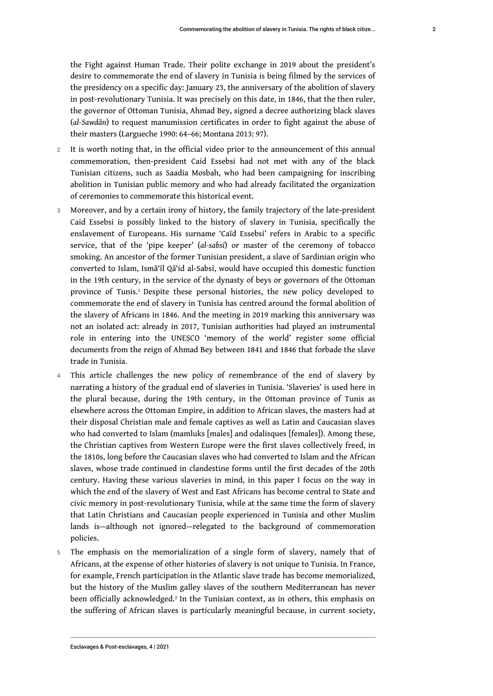the Fight against Human Trade. Their polite exchange in 2019 about the president's desire to commemorate the end of slavery in Tunisia is being filmed by the services of the presidency on a specific day: January 23, the anniversary of the abolition of slavery in post-revolutionary Tunisia. It was precisely on this date, in 1846, that the then ruler, the governor of Ottoman Tunisia, Ahmad Bey, signed a decree authorizing black slaves (*al-Sawdān*) to request manumission certificates in order to fight against the abuse of their masters (Largueche 1990: 64–66; Montana 2013: 97).

- 2 It is worth noting that, in the official video prior to the announcement of this annual commemoration, then-president Caid Essebsi had not met with any of the black Tunisian citizens, such as Saadia Mosbah, who had been campaigning for inscribing abolition in Tunisian public memory and who had already facilitated the organization of ceremonies to commemorate this historical event.
- <span id="page-3-0"></span>3 Moreover, and by a certain irony of history, the family trajectory of the late-president Caid Essebsi is possibly linked to the history of slavery in Tunisia, specifically the enslavement of Europeans. His surname 'Caïd Essebsi' refers in Arabic to a specific service, that of the 'pipe keeper' (*al-sabsī*) or master of the ceremony of tobacco smoking. An ancestor of the former Tunisian president, a slave of Sardinian origin who converted to Islam, Ismā'īl Qā'id al-Sabsī, would have occupied this domestic function in the 19th century, in the service of the dynasty of beys or governors of the Ottoman province of Tunis.<sup>[1](#page-15-0)</sup> Despite these personal histories, the new policy developed to commemorate the end of slavery in Tunisia has centred around the formal abolition of the slavery of Africans in 1846. And the meeting in 2019 marking this anniversary was not an isolated act: already in 2017, Tunisian authorities had played an instrumental role in entering into the UNESCO 'memory of the world' register some official documents from the reign of Ahmad Bey between 1841 and 1846 that forbade the slave trade in Tunisia.
- 4 This article challenges the new policy of remembrance of the end of slavery by narrating a history of the gradual end of slaveries in Tunisia. 'Slaveries' is used here in the plural because, during the 19th century, in the Ottoman province of Tunis as elsewhere across the Ottoman Empire, in addition to African slaves, the masters had at their disposal Christian male and female captives as well as Latin and Caucasian slaves who had converted to Islam (mamluks [males] and odalisques [females]). Among these, the Christian captives from Western Europe were the first slaves collectively freed, in the 1810s, long before the Caucasian slaves who had converted to Islam and the African slaves, whose trade continued in clandestine forms until the first decades of the 20th century. Having these various slaveries in mind, in this paper I focus on the way in which the end of the slavery of West and East Africans has become central to State and civic memory in post-revolutionary Tunisia, while at the same time the form of slavery that Latin Christians and Caucasian people experienced in Tunisia and other Muslim lands is—although not ignored—relegated to the background of commemoration policies.
- <span id="page-3-1"></span>The emphasis on the memorialization of a single form of slavery, namely that of Africans, at the expense of other histories of slavery is not unique to Tunisia. In France, for example, French participation in the Atlantic slave trade has become memorialized, but the history of the Muslim galley slaves of the southern Mediterranean has never been officially acknowledged.<sup>[2](#page-15-1)</sup> In the Tunisian context, as in others, this emphasis on the suffering of African slaves is particularly meaningful because, in current society,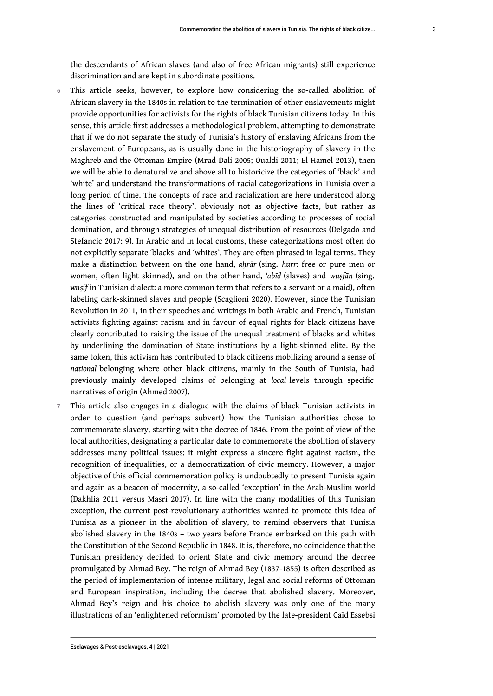- 6 This article seeks, however, to explore how considering the so-called abolition of African slavery in the 1840s in relation to the termination of other enslavements might provide opportunities for activists for the rights of black Tunisian citizens today. In this sense, this article first addresses a methodological problem, attempting to demonstrate that if we do not separate the study of Tunisia's history of enslaving Africans from the enslavement of Europeans, as is usually done in the historiography of slavery in the Maghreb and the Ottoman Empire (Mrad Dali 2005; Oualdi 2011; El Hamel 2013), then we will be able to denaturalize and above all to historicize the categories of 'black' and 'white' and understand the transformations of racial categorizations in Tunisia over a long period of time. The concepts of race and racialization are here understood along the lines of 'critical race theory', obviously not as objective facts, but rather as categories constructed and manipulated by societies according to processes of social domination, and through strategies of unequal distribution of resources (Delgado and Stefancic 2017: 9). In Arabic and in local customs, these categorizations most often do not explicitly separate 'blacks' and 'whites'. They are often phrased in legal terms. They make a distinction between on the one hand, *aḥrār* (sing. *hurr*: free or pure men or women, often light skinned), and on the other hand, *'abīd* (slaves) and *wuṣfān* (sing. *wuṣīf* in Tunisian dialect: a more common term that refers to a servant or a maid), often labeling dark-skinned slaves and people (Scaglioni 2020). However, since the Tunisian Revolution in 2011, in their speeches and writings in both Arabic and French, Tunisian activists fighting against racism and in favour of equal rights for black citizens have clearly contributed to raising the issue of the unequal treatment of blacks and whites by underlining the domination of State institutions by a light-skinned elite. By the same token, this activism has contributed to black citizens mobilizing around a sense of *national* belonging where other black citizens, mainly in the South of Tunisia, had previously mainly developed claims of belonging at *local* levels through specific narratives of origin (Ahmed 2007).
- 7 This article also engages in a dialogue with the claims of black Tunisian activists in order to question (and perhaps subvert) how the Tunisian authorities chose to commemorate slavery, starting with the decree of 1846. From the point of view of the local authorities, designating a particular date to commemorate the abolition of slavery addresses many political issues: it might express a sincere fight against racism, the recognition of inequalities, or a democratization of civic memory. However, a major objective of this official commemoration policy is undoubtedly to present Tunisia again and again as a beacon of modernity, a so-called 'exception' in the Arab-Muslim world (Dakhlia 2011 versus Masri 2017). In line with the many modalities of this Tunisian exception, the current post-revolutionary authorities wanted to promote this idea of Tunisia as a pioneer in the abolition of slavery, to remind observers that Tunisia abolished slavery in the 1840s – two years before France embarked on this path with the Constitution of the Second Republic in 1848. It is, therefore, no coincidence that the Tunisian presidency decided to orient State and civic memory around the decree promulgated by Ahmad Bey. The reign of Ahmad Bey (1837-1855) is often described as the period of implementation of intense military, legal and social reforms of Ottoman and European inspiration, including the decree that abolished slavery. Moreover, Ahmad Bey's reign and his choice to abolish slavery was only one of the many illustrations of an 'enlightened reformism' promoted by the late-president Caïd Essebsi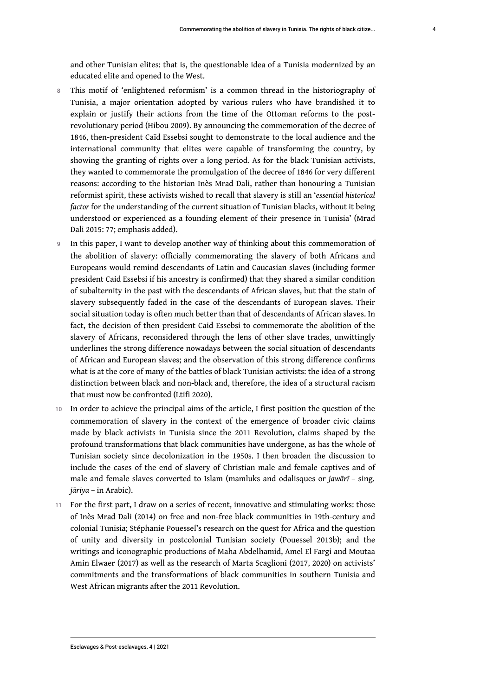- 8 This motif of 'enlightened reformism' is a common thread in the historiography of Tunisia, a major orientation adopted by various rulers who have brandished it to explain or justify their actions from the time of the Ottoman reforms to the postrevolutionary period (Hibou 2009). By announcing the commemoration of the decree of 1846, then-president Caïd Essebsi sought to demonstrate to the local audience and the international community that elites were capable of transforming the country, by showing the granting of rights over a long period. As for the black Tunisian activists, they wanted to commemorate the promulgation of the decree of 1846 for very different reasons: according to the historian Inès Mrad Dali, rather than honouring a Tunisian reformist spirit, these activists wished to recall that slavery is still an '*essential historical factor* for the understanding of the current situation of Tunisian blacks, without it being understood or experienced as a founding element of their presence in Tunisia' (Mrad Dali 2015: 77; emphasis added).
- 9 In this paper, I want to develop another way of thinking about this commemoration of the abolition of slavery: officially commemorating the slavery of both Africans and Europeans would remind descendants of Latin and Caucasian slaves (including former president Caid Essebsi if his ancestry is confirmed) that they shared a similar condition of subalternity in the past with the descendants of African slaves, but that the stain of slavery subsequently faded in the case of the descendants of European slaves. Their social situation today is often much better than that of descendants of African slaves. In fact, the decision of then-president Caid Essebsi to commemorate the abolition of the slavery of Africans, reconsidered through the lens of other slave trades, unwittingly underlines the strong difference nowadays between the social situation of descendants of African and European slaves; and the observation of this strong difference confirms what is at the core of many of the battles of black Tunisian activists: the idea of a strong distinction between black and non-black and, therefore, the idea of a structural racism that must now be confronted (Ltifi 2020).
- 10 In order to achieve the principal aims of the article, I first position the question of the commemoration of slavery in the context of the emergence of broader civic claims made by black activists in Tunisia since the 2011 Revolution, claims shaped by the profound transformations that black communities have undergone, as has the whole of Tunisian society since decolonization in the 1950s. I then broaden the discussion to include the cases of the end of slavery of Christian male and female captives and of male and female slaves converted to Islam (mamluks and odalisques or *jawārī* – sing. *jāriya* – in Arabic).
- 11 For the first part, I draw on a series of recent, innovative and stimulating works: those of Inès Mrad Dali (2014) on free and non-free black communities in 19th-century and colonial Tunisia; Stéphanie Pouessel's research on the quest for Africa and the question of unity and diversity in postcolonial Tunisian society (Pouessel 2013b); and the writings and iconographic productions of Maha Abdelhamid, Amel El Fargi and Moutaa Amin Elwaer (2017) as well as the research of Marta Scaglioni (2017, 2020) on activists' commitments and the transformations of black communities in southern Tunisia and West African migrants after the 2011 Revolution.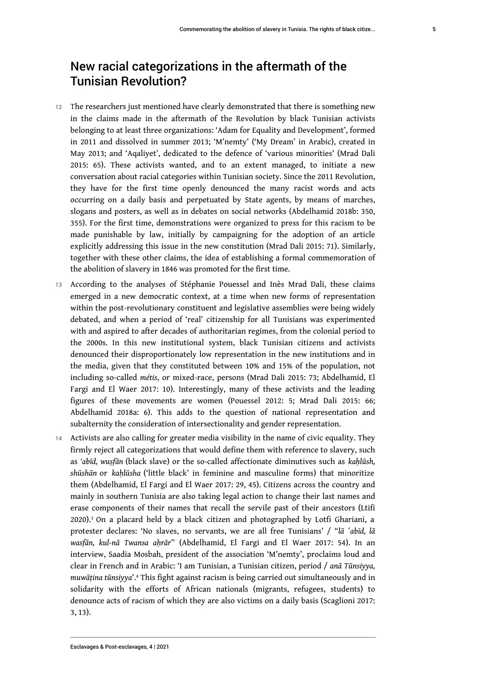### New racial categorizations in the aftermath of the Tunisian Revolution?

- 12 The researchers just mentioned have clearly demonstrated that there is something new in the claims made in the aftermath of the Revolution by black Tunisian activists belonging to at least three organizations: 'Adam for Equality and Development', formed in 2011 and dissolved in summer 2013; 'M'nemty' ('My Dream' in Arabic), created in May 2013; and 'Aqaliyet', dedicated to the defence of 'various minorities' (Mrad Dali 2015: 65). These activists wanted, and to an extent managed, to initiate a new conversation about racial categories within Tunisian society. Since the 2011 Revolution, they have for the first time openly denounced the many racist words and acts occurring on a daily basis and perpetuated by State agents, by means of marches, slogans and posters, as well as in debates on social networks (Abdelhamid 2018b: 350, 355). For the first time, demonstrations were organized to press for this racism to be made punishable by law, initially by campaigning for the adoption of an article explicitly addressing this issue in the new constitution (Mrad Dali 2015: 71). Similarly, together with these other claims, the idea of establishing a formal commemoration of the abolition of slavery in 1846 was promoted for the first time.
- 13 According to the analyses of Stéphanie Pouessel and Inès Mrad Dali, these claims emerged in a new democratic context, at a time when new forms of representation within the post-revolutionary constituent and legislative assemblies were being widely debated, and when a period of 'real' citizenship for all Tunisians was experimented with and aspired to after decades of authoritarian regimes, from the colonial period to the 2000s. In this new institutional system, black Tunisian citizens and activists denounced their disproportionately low representation in the new institutions and in the media, given that they constituted between 10% and 15% of the population, not including so-called *métis*, or mixed-race, persons (Mrad Dali 2015: 73; Abdelhamid, El Fargi and El Waer 2017: 10). Interestingly, many of these activists and the leading figures of these movements are women (Pouessel 2012: 5; Mrad Dali 2015: 66; Abdelhamid 2018a: 6). This adds to the question of national representation and subalternity the consideration of intersectionality and gender representation.
- <span id="page-6-1"></span><span id="page-6-0"></span>14 Activists are also calling for greater media visibility in the name of civic equality. They firmly reject all categorizations that would define them with reference to slavery, such as *'abīd, wuṣfān* (black slave) or the so-called affectionate diminutives such as *kaḥlūsh, shūshān* or *kaḥlūsha* ('little black' in feminine and masculine forms) that minoritize them (Abdelhamid, El Fargi and El Waer 2017: 29, 45). Citizens across the country and mainly in southern Tunisia are also taking legal action to change their last names and erase components of their names that recall the servile past of their ancestors (Ltifi 2020).[3](#page-15-2) On a placard held by a black citizen and photographed by Lotfi Ghariani, a protester declares: 'No slaves, no servants, we are all free Tunisians' / "*lā ʿabīd, lā wasfān, kul-nā Twansa aḥrār*" (Abdelhamid, El Fargi and El Waer 2017: 54). In an interview, Saadia Mosbah, president of the association 'M'nemty', proclaims loud and clear in French and in Arabic: 'I am Tunisian, a Tunisian citizen, period / *anā Tūnsiyya, muwāṭina tūnsiyya*'.[4](#page-15-3) This fight against racism is being carried out simultaneously and in solidarity with the efforts of African nationals (migrants, refugees, students) to denounce acts of racism of which they are also victims on a daily basis (Scaglioni 2017: 3, 13).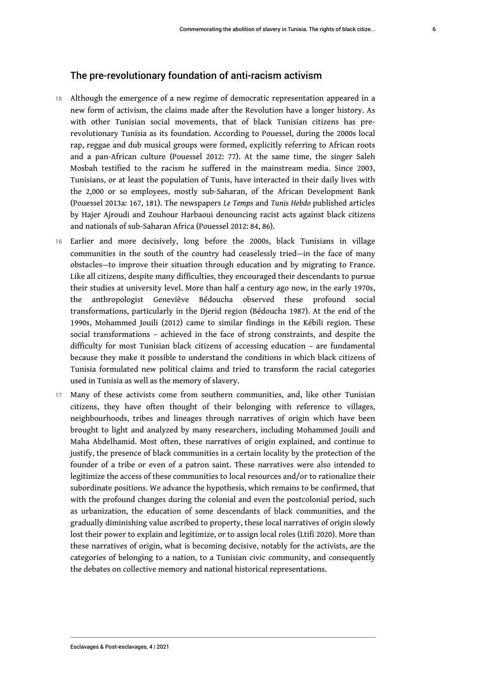### The pre-revolutionary foundation of anti-racism activism

- 15 Although the emergence of a new regime of democratic representation appeared in a new form of activism, the claims made after the Revolution have a longer history. As with other Tunisian social movements, that of black Tunisian citizens has prerevolutionary Tunisia as its foundation. According to Pouessel, during the 2000s local rap, reggae and dub musical groups were formed, explicitly referring to African roots and a pan-African culture (Pouessel 2012: 77). At the same time, the singer Saleh Mosbah testified to the racism he suffered in the mainstream media. Since 2003, Tunisians, or at least the population of Tunis, have interacted in their daily lives with the 2,000 or so employees, mostly sub-Saharan, of the African Development Bank (Pouessel 2013a: 167, 181). The newspapers *Le Temps* and *Tunis Hebdo* published articles by Hajer Ajroudi and Zouhour Harbaoui denouncing racist acts against black citizens and nationals of sub-Saharan Africa (Pouessel 2012: 84, 86).
- 16 Earlier and more decisively, long before the 2000s, black Tunisians in village communities in the south of the country had ceaselessly tried—in the face of many obstacles—to improve their situation through education and by migrating to France. Like all citizens, despite many difficulties, they encouraged their descendants to pursue their studies at university level. More than half a century ago now, in the early 1970s, the anthropologist Geneviève Bédoucha observed these profound social transformations, particularly in the Djerid region (Bédoucha 1987). At the end of the 1990s, Mohammed Jouili (2012) came to similar findings in the Kébili region. These social transformations – achieved in the face of strong constraints, and despite the difficulty for most Tunisian black citizens of accessing education – are fundamental because they make it possible to understand the conditions in which black citizens of Tunisia formulated new political claims and tried to transform the racial categories used in Tunisia as well as the memory of slavery.
- 17 Many of these activists come from southern communities, and, like other Tunisian citizens, they have often thought of their belonging with reference to villages, neighbourhoods, tribes and lineages through narratives of origin which have been brought to light and analyzed by many researchers, including Mohammed Jouili and Maha Abdelhamid. Most often, these narratives of origin explained, and continue to justify, the presence of black communities in a certain locality by the protection of the founder of a tribe or even of a patron saint. These narratives were also intended to legitimize the access of these communities to local resources and/or to rationalize their subordinate positions. We advance the hypothesis, which remains to be confirmed, that with the profound changes during the colonial and even the postcolonial period, such as urbanization, the education of some descendants of black communities, and the gradually diminishing value ascribed to property, these local narratives of origin slowly lost their power to explain and legitimize, or to assign local roles (Ltifi 2020). More than these narratives of origin, what is becoming decisive, notably for the activists, are the categories of belonging to a nation, to a Tunisian civic community, and consequently the debates on collective memory and national historical representations.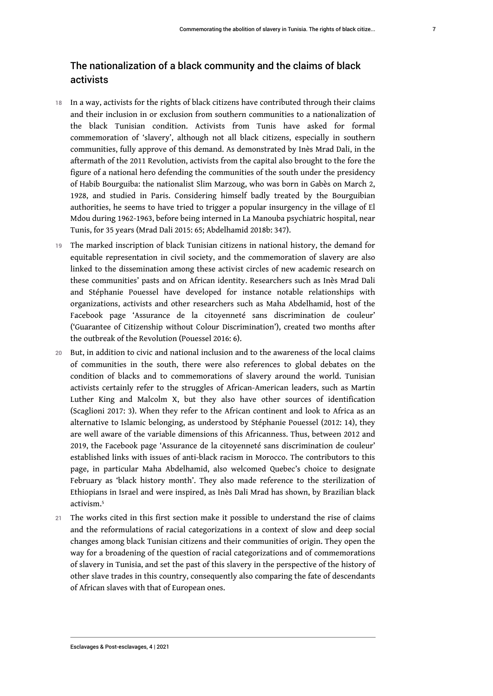### The nationalization of a black community and the claims of black activists

- 18 In a way, activists for the rights of black citizens have contributed through their claims and their inclusion in or exclusion from southern communities to a nationalization of the black Tunisian condition. Activists from Tunis have asked for formal commemoration of 'slavery', although not all black citizens, especially in southern communities, fully approve of this demand. As demonstrated by Inès Mrad Dali, in the aftermath of the 2011 Revolution, activists from the capital also brought to the fore the figure of a national hero defending the communities of the south under the presidency of Habib Bourguiba: the nationalist Slim Marzoug, who was born in Gabès on March 2, 1928, and studied in Paris. Considering himself badly treated by the Bourguibian authorities, he seems to have tried to trigger a popular insurgency in the village of El Mdou during 1962-1963, before being interned in La Manouba psychiatric hospital, near Tunis, for 35 years (Mrad Dali 2015: 65; Abdelhamid 2018b: 347).
- 19 The marked inscription of black Tunisian citizens in national history, the demand for equitable representation in civil society, and the commemoration of slavery are also linked to the dissemination among these activist circles of new academic research on these communities' pasts and on African identity. Researchers such as Inès Mrad Dali and Stéphanie Pouessel have developed for instance notable relationships with organizations, activists and other researchers such as Maha Abdelhamid, host of the Facebook page 'Assurance de la citoyenneté sans discrimination de couleur' ('Guarantee of Citizenship without Colour Discrimination'), created two months after the outbreak of the Revolution (Pouessel 2016: 6).
- 20 But, in addition to civic and national inclusion and to the awareness of the local claims of communities in the south, there were also references to global debates on the condition of blacks and to commemorations of slavery around the world. Tunisian activists certainly refer to the struggles of African-American leaders, such as Martin Luther King and Malcolm X, but they also have other sources of identification (Scaglioni 2017: 3). When they refer to the African continent and look to Africa as an alternative to Islamic belonging, as understood by Stéphanie Pouessel (2012: 14), they are well aware of the variable dimensions of this Africanness. Thus, between 2012 and 2019, the Facebook page 'Assurance de la citoyenneté sans discrimination de couleur' established links with issues of anti-black racism in Morocco. The contributors to this page, in particular Maha Abdelhamid, also welcomed Quebec's choice to designate February as 'black history month'. They also made reference to the sterilization of Ethiopians in Israel and were inspired, as Inès Dali Mrad has shown, by Brazilian black activism.[5](#page-15-4)
- <span id="page-8-0"></span>21 The works cited in this first section make it possible to understand the rise of claims and the reformulations of racial categorizations in a context of slow and deep social changes among black Tunisian citizens and their communities of origin. They open the way for a broadening of the question of racial categorizations and of commemorations of slavery in Tunisia, and set the past of this slavery in the perspective of the history of other slave trades in this country, consequently also comparing the fate of descendants of African slaves with that of European ones.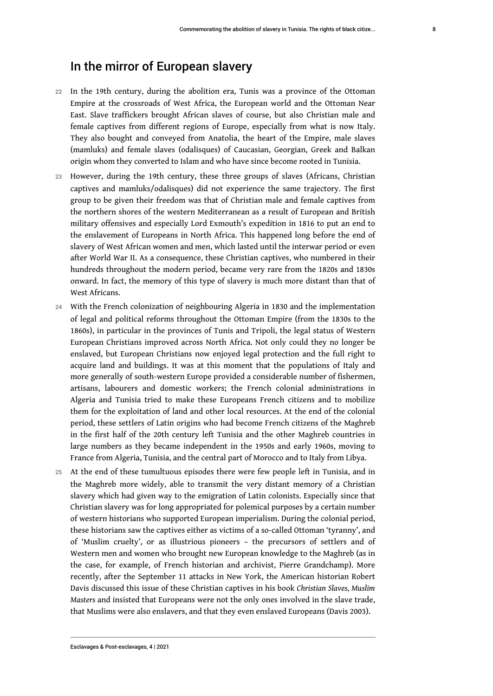- 22 In the 19th century, during the abolition era, Tunis was a province of the Ottoman Empire at the crossroads of West Africa, the European world and the Ottoman Near East. Slave traffickers brought African slaves of course, but also Christian male and female captives from different regions of Europe, especially from what is now Italy. They also bought and conveyed from Anatolia, the heart of the Empire, male slaves (mamluks) and female slaves (odalisques) of Caucasian, Georgian, Greek and Balkan origin whom they converted to Islam and who have since become rooted in Tunisia.
- 23 However, during the 19th century, these three groups of slaves (Africans, Christian captives and mamluks/odalisques) did not experience the same trajectory. The first group to be given their freedom was that of Christian male and female captives from the northern shores of the western Mediterranean as a result of European and British military offensives and especially Lord Exmouth's expedition in 1816 to put an end to the enslavement of Europeans in North Africa. This happened long before the end of slavery of West African women and men, which lasted until the interwar period or even after World War II. As a consequence, these Christian captives, who numbered in their hundreds throughout the modern period, became very rare from the 1820s and 1830s onward. In fact, the memory of this type of slavery is much more distant than that of West Africans.
- 24 With the French colonization of neighbouring Algeria in 1830 and the implementation of legal and political reforms throughout the Ottoman Empire (from the 1830s to the 1860s), in particular in the provinces of Tunis and Tripoli, the legal status of Western European Christians improved across North Africa. Not only could they no longer be enslaved, but European Christians now enjoyed legal protection and the full right to acquire land and buildings. It was at this moment that the populations of Italy and more generally of south-western Europe provided a considerable number of fishermen, artisans, labourers and domestic workers; the French colonial administrations in Algeria and Tunisia tried to make these Europeans French citizens and to mobilize them for the exploitation of land and other local resources. At the end of the colonial period, these settlers of Latin origins who had become French citizens of the Maghreb in the first half of the 20th century left Tunisia and the other Maghreb countries in large numbers as they became independent in the 1950s and early 1960s, moving to France from Algeria, Tunisia, and the central part of Morocco and to Italy from Libya.
- 25 At the end of these tumultuous episodes there were few people left in Tunisia, and in the Maghreb more widely, able to transmit the very distant memory of a Christian slavery which had given way to the emigration of Latin colonists. Especially since that Christian slavery was for long appropriated for polemical purposes by a certain number of western historians who supported European imperialism. During the colonial period, these historians saw the captives either as victims of a so-called Ottoman 'tyranny', and of 'Muslim cruelty', or as illustrious pioneers – the precursors of settlers and of Western men and women who brought new European knowledge to the Maghreb (as in the case, for example, of French historian and archivist, Pierre Grandchamp). More recently, after the September 11 attacks in New York, the American historian Robert Davis discussed this issue of these Christian captives in his book *Christian Slaves, Muslim Masters* and insisted that Europeans were not the only ones involved in the slave trade, that Muslims were also enslavers, and that they even enslaved Europeans (Davis 2003).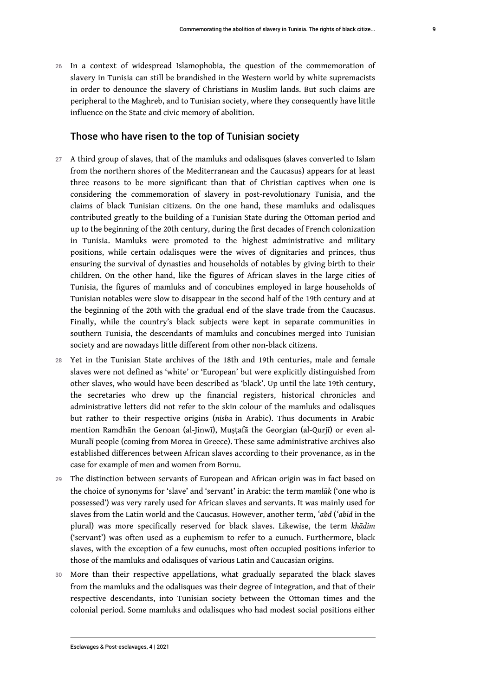26 In a context of widespread Islamophobia, the question of the commemoration of slavery in Tunisia can still be brandished in the Western world by white supremacists in order to denounce the slavery of Christians in Muslim lands. But such claims are peripheral to the Maghreb, and to Tunisian society, where they consequently have little influence on the State and civic memory of abolition.

#### Those who have risen to the top of Tunisian society

- 27 A third group of slaves, that of the mamluks and odalisques (slaves converted to Islam from the northern shores of the Mediterranean and the Caucasus) appears for at least three reasons to be more significant than that of Christian captives when one is considering the commemoration of slavery in post-revolutionary Tunisia, and the claims of black Tunisian citizens. On the one hand, these mamluks and odalisques contributed greatly to the building of a Tunisian State during the Ottoman period and up to the beginning of the 20th century, during the first decades of French colonization in Tunisia. Mamluks were promoted to the highest administrative and military positions, while certain odalisques were the wives of dignitaries and princes, thus ensuring the survival of dynasties and households of notables by giving birth to their children. On the other hand, like the figures of African slaves in the large cities of Tunisia, the figures of mamluks and of concubines employed in large households of Tunisian notables were slow to disappear in the second half of the 19th century and at the beginning of the 20th with the gradual end of the slave trade from the Caucasus. Finally, while the country's black subjects were kept in separate communities in southern Tunisia, the descendants of mamluks and concubines merged into Tunisian society and are nowadays little different from other non-black citizens.
- 28 Yet in the Tunisian State archives of the 18th and 19th centuries, male and female slaves were not defined as 'white' or 'European' but were explicitly distinguished from other slaves, who would have been described as 'black'. Up until the late 19th century, the secretaries who drew up the financial registers, historical chronicles and administrative letters did not refer to the skin colour of the mamluks and odalisques but rather to their respective origins (*nisba* in Arabic). Thus documents in Arabic mention Ramdhān the Genoan (al-Jinwī), Muṣṭafā the Georgian (al-Qurjī) or even al-Muralī people (coming from Morea in Greece). These same administrative archives also established differences between African slaves according to their provenance, as in the case for example of men and women from Bornu.
- 29 The distinction between servants of European and African origin was in fact based on the choice of synonyms for 'slave' and 'servant' in Arabic: the term *mamlūk* ('one who is possessed') was very rarely used for African slaves and servants. It was mainly used for slaves from the Latin world and the Caucasus. However, another term, *ʿabd* (*ʿabīd* in the plural) was more specifically reserved for black slaves. Likewise, the term *khādim* ('servant') was often used as a euphemism to refer to a eunuch. Furthermore, black slaves, with the exception of a few eunuchs, most often occupied positions inferior to those of the mamluks and odalisques of various Latin and Caucasian origins.
- 30 More than their respective appellations, what gradually separated the black slaves from the mamluks and the odalisques was their degree of integration, and that of their respective descendants, into Tunisian society between the Ottoman times and the colonial period. Some mamluks and odalisques who had modest social positions either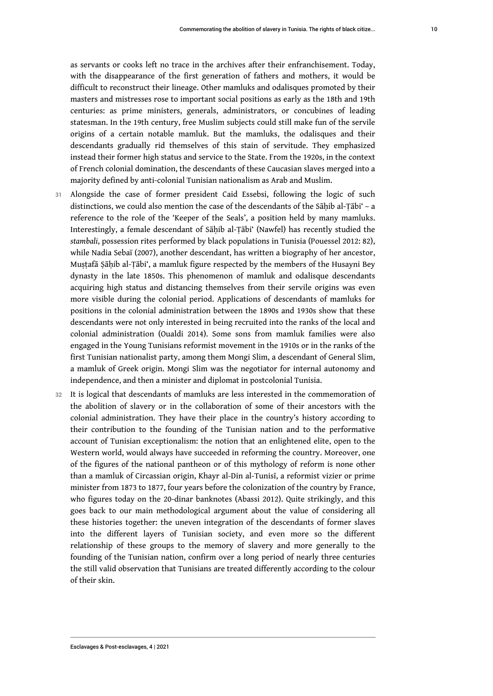as servants or cooks left no trace in the archives after their enfranchisement. Today, with the disappearance of the first generation of fathers and mothers, it would be difficult to reconstruct their lineage. Other mamluks and odalisques promoted by their masters and mistresses rose to important social positions as early as the 18th and 19th centuries: as prime ministers, generals, administrators, or concubines of leading statesman. In the 19th century, free Muslim subjects could still make fun of the servile origins of a certain notable mamluk. But the mamluks, the odalisques and their descendants gradually rid themselves of this stain of servitude. They emphasized instead their former high status and service to the State. From the 1920s, in the context of French colonial domination, the descendants of these Caucasian slaves merged into a majority defined by anti-colonial Tunisian nationalism as Arab and Muslim.

- 31 Alongside the case of former president Caid Essebsi, following the logic of such distinctions, we could also mention the case of the descendants of the Sāḥib al-Ṭābi' - a reference to the role of the 'Keeper of the Seals', a position held by many mamluks. Interestingly, a female descendant of Sāḥib al-Ṭābi' (Nawfel) has recently studied the *stambali*, possession rites performed by black populations in Tunisia (Pouessel 2012: 82), while Nadia Sebaï (2007), another descendant, has written a biography of her ancestor, Mustafā Sāhib al-Tābi', a mamluk figure respected by the members of the Husayni Bey dynasty in the late 1850s. This phenomenon of mamluk and odalisque descendants acquiring high status and distancing themselves from their servile origins was even more visible during the colonial period. Applications of descendants of mamluks for positions in the colonial administration between the 1890s and 1930s show that these descendants were not only interested in being recruited into the ranks of the local and colonial administration (Oualdi 2014). Some sons from mamluk families were also engaged in the Young Tunisians reformist movement in the 1910s or in the ranks of the first Tunisian nationalist party, among them Mongi Slim, a descendant of General Slim, a mamluk of Greek origin. Mongi Slim was the negotiator for internal autonomy and independence, and then a minister and diplomat in postcolonial Tunisia.
- 32 It is logical that descendants of mamluks are less interested in the commemoration of the abolition of slavery or in the collaboration of some of their ancestors with the colonial administration. They have their place in the country's history according to their contribution to the founding of the Tunisian nation and to the performative account of Tunisian exceptionalism: the notion that an enlightened elite, open to the Western world, would always have succeeded in reforming the country. Moreover, one of the figures of the national pantheon or of this mythology of reform is none other than a mamluk of Circassian origin, Khayr al-Din al-Tunisī, a reformist vizier or prime minister from 1873 to 1877, four years before the colonization of the country by France, who figures today on the 20-dinar banknotes (Abassi 2012). Quite strikingly, and this goes back to our main methodological argument about the value of considering all these histories together: the uneven integration of the descendants of former slaves into the different layers of Tunisian society, and even more so the different relationship of these groups to the memory of slavery and more generally to the founding of the Tunisian nation, confirm over a long period of nearly three centuries the still valid observation that Tunisians are treated differently according to the colour of their skin.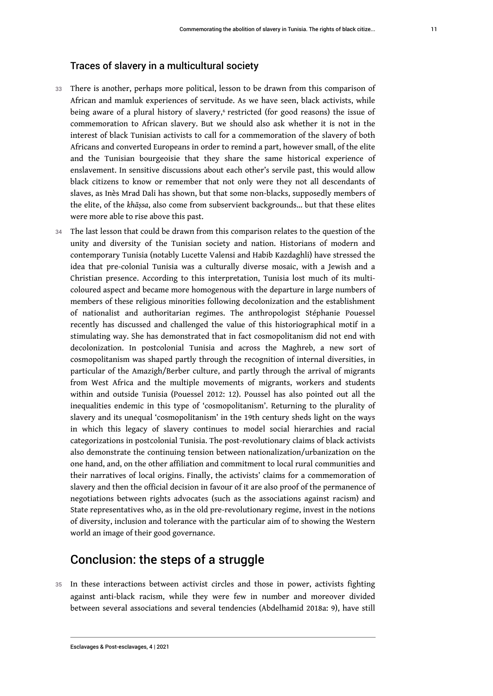- <span id="page-12-0"></span>33 There is another, perhaps more political, lesson to be drawn from this comparison of African and mamluk experiences of servitude. As we have seen, black activists, while being aware of a plural history of slavery,<sup>[6](#page-15-5)</sup> restricted (for good reasons) the issue of commemoration to African slavery. But we should also ask whether it is not in the interest of black Tunisian activists to call for a commemoration of the slavery of both Africans and converted Europeans in order to remind a part, however small, of the elite and the Tunisian bourgeoisie that they share the same historical experience of enslavement. In sensitive discussions about each other's servile past, this would allow black citizens to know or remember that not only were they not all descendants of slaves, as Inès Mrad Dali has shown, but that some non-blacks, supposedly members of the elite, of the *khāṣsa*, also come from subservient backgrounds… but that these elites were more able to rise above this past.
- 34 The last lesson that could be drawn from this comparison relates to the question of the unity and diversity of the Tunisian society and nation. Historians of modern and contemporary Tunisia (notably Lucette Valensi and Habib Kazdaghli) have stressed the idea that pre-colonial Tunisia was a culturally diverse mosaic, with a Jewish and a Christian presence. According to this interpretation, Tunisia lost much of its multicoloured aspect and became more homogenous with the departure in large numbers of members of these religious minorities following decolonization and the establishment of nationalist and authoritarian regimes. The anthropologist Stéphanie Pouessel recently has discussed and challenged the value of this historiographical motif in a stimulating way. She has demonstrated that in fact cosmopolitanism did not end with decolonization. In postcolonial Tunisia and across the Maghreb, a new sort of cosmopolitanism was shaped partly through the recognition of internal diversities, in particular of the Amazigh/Berber culture, and partly through the arrival of migrants from West Africa and the multiple movements of migrants, workers and students within and outside Tunisia (Pouessel 2012: 12). Poussel has also pointed out all the inequalities endemic in this type of 'cosmopolitanism'. Returning to the plurality of slavery and its unequal 'cosmopolitanism' in the 19th century sheds light on the ways in which this legacy of slavery continues to model social hierarchies and racial categorizations in postcolonial Tunisia. The post-revolutionary claims of black activists also demonstrate the continuing tension between nationalization/urbanization on the one hand, and, on the other affiliation and commitment to local rural communities and their narratives of local origins. Finally, the activists' claims for a commemoration of slavery and then the official decision in favour of it are also proof of the permanence of negotiations between rights advocates (such as the associations against racism) and State representatives who, as in the old pre-revolutionary regime, invest in the notions of diversity, inclusion and tolerance with the particular aim of to showing the Western world an image of their good governance.

### Conclusion: the steps of a struggle

35 In these interactions between activist circles and those in power, activists fighting against anti-black racism, while they were few in number and moreover divided between several associations and several tendencies (Abdelhamid 2018a: 9), have still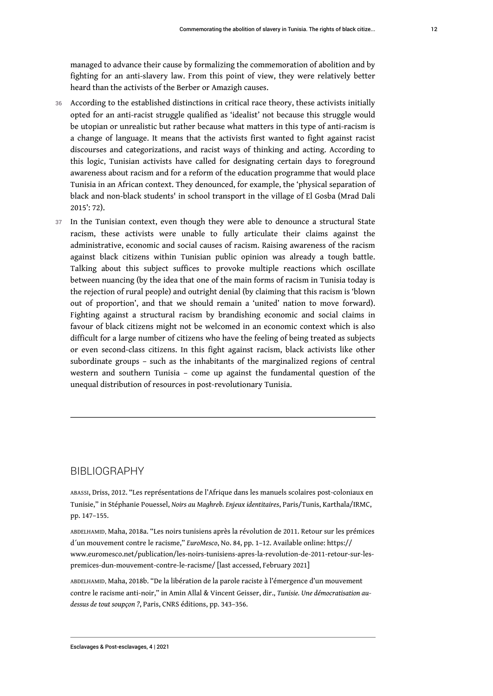managed to advance their cause by formalizing the commemoration of abolition and by fighting for an anti-slavery law. From this point of view, they were relatively better heard than the activists of the Berber or Amazigh causes.

- 36 According to the established distinctions in critical race theory, these activists initially opted for an anti-racist struggle qualified as 'idealist' not because this struggle would be utopian or unrealistic but rather because what matters in this type of anti-racism is a change of language. It means that the activists first wanted to fight against racist discourses and categorizations, and racist ways of thinking and acting. According to this logic, Tunisian activists have called for designating certain days to foreground awareness about racism and for a reform of the education programme that would place Tunisia in an African context. They denounced, for example, the 'physical separation of black and non-black students' in school transport in the village of El Gosba (Mrad Dali 2015': 72).
- 37 In the Tunisian context, even though they were able to denounce a structural State racism, these activists were unable to fully articulate their claims against the administrative, economic and social causes of racism. Raising awareness of the racism against black citizens within Tunisian public opinion was already a tough battle. Talking about this subject suffices to provoke multiple reactions which oscillate between nuancing (by the idea that one of the main forms of racism in Tunisia today is the rejection of rural people) and outright denial (by claiming that this racism is 'blown out of proportion', and that we should remain a 'united' nation to move forward). Fighting against a structural racism by brandishing economic and social claims in favour of black citizens might not be welcomed in an economic context which is also difficult for a large number of citizens who have the feeling of being treated as subjects or even second-class citizens. In this fight against racism, black activists like other subordinate groups – such as the inhabitants of the marginalized regions of central western and southern Tunisia – come up against the fundamental question of the unequal distribution of resources in post-revolutionary Tunisia.

### BIBLIOGRAPHY

ABASSI, Driss, 2012. "Les représentations de l'Afrique dans les manuels scolaires post-coloniaux en Tunisie," in Stéphanie Pouessel, *Noirs au Maghreb. Enjeux identitaires*, Paris/Tunis, Karthala/IRMC, pp. 147–155.

ABDELHAMID, Maha, 2018a. "Les noirs tunisiens après la révolution de 2011. Retour sur les prémices d´un mouvement contre le racisme," *EuroMesco*, No. 84, pp. 1–12. Available online: [https://](https://www.euromesco.net/publication/les-noirs-tunisiens-apres-la-revolution-de-2011-retour-sur-les-premices-dun-mouvement-contre-le-racisme/) [www.euromesco.net/publication/les-noirs-tunisiens-apres-la-revolution-de-2011-retour-sur-les](https://www.euromesco.net/publication/les-noirs-tunisiens-apres-la-revolution-de-2011-retour-sur-les-premices-dun-mouvement-contre-le-racisme/)[premices-dun-mouvement-contre-le-racisme/](https://www.euromesco.net/publication/les-noirs-tunisiens-apres-la-revolution-de-2011-retour-sur-les-premices-dun-mouvement-contre-le-racisme/) [last accessed, February 2021]

ABDELHAMID, Maha, 2018b. "De la libération de la parole raciste à l'émergence d'un mouvement contre le racisme anti-noir," in Amin Allal & Vincent Geisser, dir., *Tunisie. Une démocratisation audessus de tout soupçon ?*, Paris, CNRS éditions, pp. 343–356.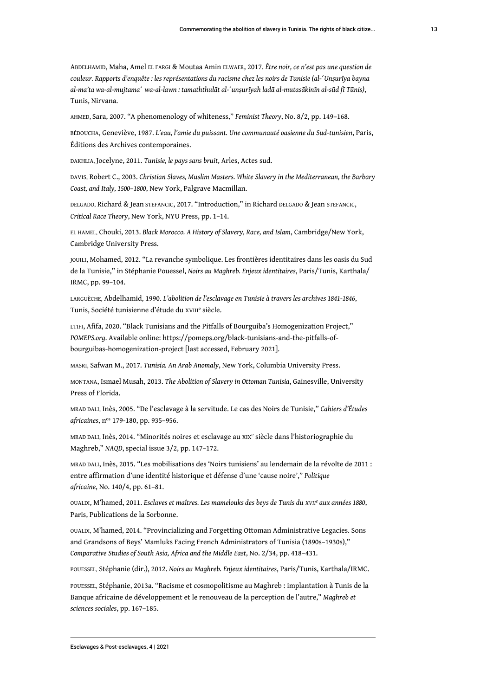ABDELHAMID, Maha, Amel EL FARGI & Moutaa Amin ELWAER, 2017. *Être noir, ce n'est pas une question de couleur. Rapports d'enquête : les représentations du racisme chez les noirs de Tunisie (al-ʻUnṣurīya bayna* al-ma'ta wa-al-mujtama' wa-al-lawn : tamaththulāt al-'unsurīyah ladā al-mutasākinīn al-sūd fī Tūnis), Tunis, Nirvana.

AHMED, Sara, 2007. "A phenomenology of whiteness," *Feminist Theory*, No. 8/2, pp. 149–168.

BÉDOUCHA, Geneviève, 1987. *L'eau, l'amie du puissant. Une communauté oasienne du Sud-tunisien*, Paris, Éditions des Archives contemporaines.

DAKHLIA, Jocelyne, 2011. *Tunisie, le pays sans bruit*, Arles, Actes sud.

DAVIS, Robert C., 2003. *Christian Slaves, Muslim Masters. White Slavery in the Mediterranean, the Barbary Coast, and Italy, 1500*–*1800*, New York, Palgrave Macmillan.

DELGADO, Richard & Jean STEFANCIC, 2017. "Introduction," in Richard DELGADO & Jean STEFANCIC, *Critical Race Theory*, New York, NYU Press, pp. 1–14.

EL HAMEL, Chouki, 2013. *Black Morocco. A History of Slavery, Race, and Islam*, Cambridge/New York, Cambridge University Press.

JOUILI, Mohamed, 2012. "La revanche symbolique. Les frontières identitaires dans les oasis du Sud de la Tunisie," in Stéphanie Pouessel, *Noirs au Maghreb. Enjeux identitaires*, Paris/Tunis, Karthala/ IRMC, pp. 99–104.

LARGUÈCHE, Abdelhamid, 1990. *L'abolition de l'esclavage en Tunisie à travers les archives 1841-1846*, Tunis, Société tunisienne d'étude du xvIII<sup>e</sup> siècle.

LTIFI, Afifa, 2020. "Black Tunisians and the Pitfalls of Bourguiba's Homogenization Project," *POMEPS.org*. Available online: [https://pomeps.org/black-tunisians-and-the-pitfalls-of](https://pomeps.org/black-tunisians-and-the-pitfalls-of-bourguibas-homogenization-project)[bourguibas-homogenization-project](https://pomeps.org/black-tunisians-and-the-pitfalls-of-bourguibas-homogenization-project) [last accessed, February 2021].

MASRI, Safwan M., 2017. *Tunisia. An Arab Anomaly*, New York, Columbia University Press.

MONTANA, Ismael Musah, 2013. *The Abolition of Slavery in Ottoman Tunisia*, Gainesville, University Press of Florida.

MRAD DALI, Inès, 2005. "De l'esclavage à la servitude. Le cas des Noirs de Tunisie," *Cahiers d'Études africaines*, nos 179-180, pp. 935–956.

MRAD DALI, Inès, 2014. "Minorités noires et esclavage au XIX<sup>e</sup> siècle dans l'historiographie du Maghreb," *NAQD*, special issue 3/2, pp. 147–172.

MRAD DALI, Inès, 2015. "Les mobilisations des 'Noirs tunisiens' au lendemain de la révolte de 2011 : entre affirmation d'une identité historique et défense d'une 'cause noire'," *Politique africaine*, No. 140/4, pp. 61–81.

OUALDI, M'hamed, 2011. *Esclaves et maîtres. Les mamelouks des beys de Tunis du XVII<sup>e</sup> aux années 1880*, Paris, Publications de la Sorbonne.

OUALDI, M'hamed, 2014. "Provincializing and Forgetting Ottoman Administrative Legacies. Sons and Grandsons of Beys' Mamluks Facing French Administrators of Tunisia (1890s–1930s)," *Comparative Studies of South Asia, Africa and the Middle East*, No. 2/34, pp. 418–431.

POUESSEL, Stéphanie (dir.), 2012. *Noirs au Maghreb. Enjeux identitaires*, Paris/Tunis, Karthala/IRMC.

POUESSEL, Stéphanie, 2013a. "Racisme et cosmopolitisme au Maghreb : implantation à Tunis de la Banque africaine de développement et le renouveau de la perception de l'autre," *Maghreb et sciences sociales*, pp. 167–185.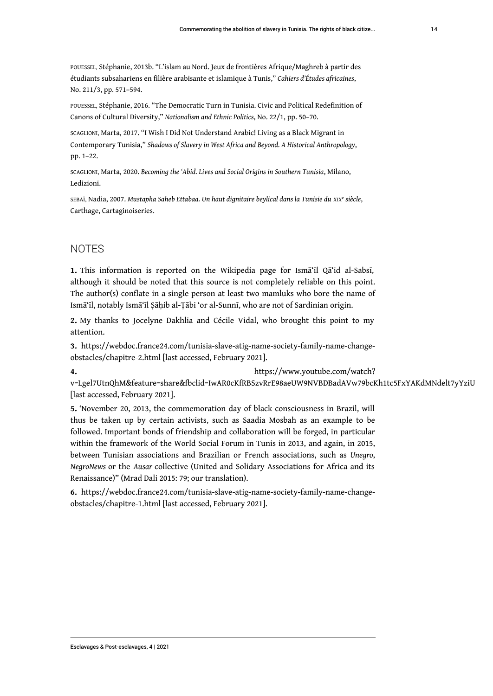POUESSEL, Stéphanie, 2013b. "L'islam au Nord. Jeux de frontières Afrique/Maghreb à partir des étudiants subsahariens en filière arabisante et islamique à Tunis," *Cahiers d'Études africaines*, No. 211/3, pp. 571–594.

POUESSEL, Stéphanie, 2016. "The Democratic Turn in Tunisia. Civic and Political Redefinition of Canons of Cultural Diversity," *Nationalism and Ethnic Politics*, No. 22/1, pp. 50–70.

SCAGLIONI, Marta, 2017. "I Wish I Did Not Understand Arabic! Living as a Black Migrant in Contemporary Tunisia," *Shadows of Slavery in West Africa and Beyond. A Historical Anthropology*, pp. 1–22.

SCAGLIONI, Marta, 2020. *Becoming the 'Abid. Lives and Social Origins in Southern Tunisia*, Milano, Ledizioni.

SEBAÏ, Nadia, 2007. *Mustapha Saheb Ettabaa. Un haut dignitaire beylical dans la Tunisie du XIX<sup>e</sup> siècle*, Carthage, Cartaginoiseries.

### **NOTES**

<span id="page-15-0"></span>**[1.](#page-3-0)** This information is reported on the Wikipedia page for Ismā'īl Qā'id al-Sabsī, although it should be noted that this source is not completely reliable on this point. The author(s) conflate in a single person at least two mamluks who bore the name of Ismā'īl, notably Ismā'īl Ṣāḥib al-Ṭābi 'or al-Sunnī, who are not of Sardinian origin.

<span id="page-15-1"></span>**[2.](#page-3-1)** My thanks to Jocelyne Dakhlia and Cécile Vidal, who brought this point to my attention.

<span id="page-15-2"></span>**[3.](#page-6-0)** [https://webdoc.france24.com/tunisia-slave-atig-name-society-family-name-change](https://webdoc.france24.com/tunisia-slave-atig-name-society-family-name-change-obstacles/chapitre-2.html)[obstacles/chapitre-2.html](https://webdoc.france24.com/tunisia-slave-atig-name-society-family-name-change-obstacles/chapitre-2.html) [last accessed, February 2021].

<span id="page-15-3"></span>**[4.](#page-6-1)** [https://www.youtube.com/watch?](https://www.youtube.com/watch?v=Lgel7UtnQhM&feature=share&fbclid=IwAR0cKfRBSzvRrE98aeUW9NVBDBadAVw79bcKh1tc5FxYAKdMNdelt7yYziU)

[v=Lgel7UtnQhM&feature=share&fbclid=IwAR0cKfRBSzvRrE98aeUW9NVBDBadAVw79bcKh1tc5FxYAKdMNdelt7yYziU](https://www.youtube.com/watch?v=Lgel7UtnQhM&feature=share&fbclid=IwAR0cKfRBSzvRrE98aeUW9NVBDBadAVw79bcKh1tc5FxYAKdMNdelt7yYziU)  [last accessed, February 2021].

<span id="page-15-4"></span>**[5.](#page-8-0)** 'November 20, 2013, the commemoration day of black consciousness in Brazil, will thus be taken up by certain activists, such as Saadia Mosbah as an example to be followed. Important bonds of friendship and collaboration will be forged, in particular within the framework of the World Social Forum in Tunis in 2013, and again, in 2015, between Tunisian associations and Brazilian or French associations, such as *Unegro*, *NegroNews* or the *Ausar* collective (United and Solidary Associations for Africa and its Renaissance)" (Mrad Dali 2015: 79; our translation).

<span id="page-15-5"></span>**[6.](#page-12-0)** [https://webdoc.france24.com/tunisia-slave-atig-name-society-family-name-change](https://webdoc.france24.com/tunisia-slave-atig-name-society-family-name-change-obstacles/chapitre-1.html)[obstacles/chapitre-1.html](https://webdoc.france24.com/tunisia-slave-atig-name-society-family-name-change-obstacles/chapitre-1.html) [last accessed, February 2021].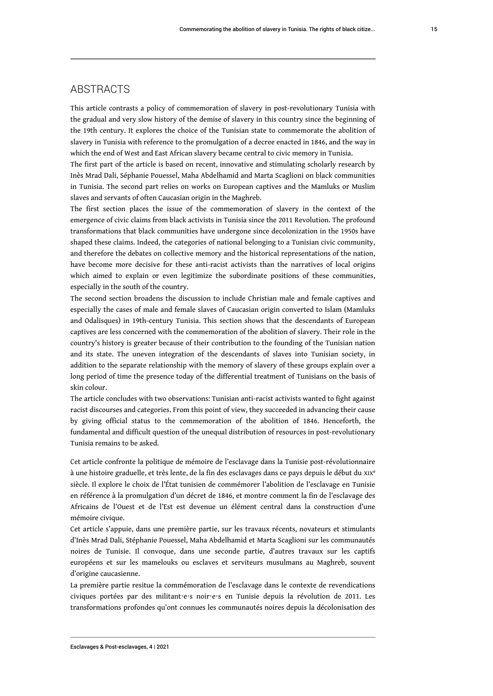### **ABSTRACTS**

This article contrasts a policy of commemoration of slavery in post-revolutionary Tunisia with the gradual and very slow history of the demise of slavery in this country since the beginning of the 19th century. It explores the choice of the Tunisian state to commemorate the abolition of slavery in Tunisia with reference to the promulgation of a decree enacted in 1846, and the way in which the end of West and East African slavery became central to civic memory in Tunisia.

The first part of the article is based on recent, innovative and stimulating scholarly research by Inès Mrad Dali, Séphanie Pouessel, Maha Abdelhamid and Marta Scaglioni on black communities in Tunisia. The second part relies on works on European captives and the Mamluks or Muslim slaves and servants of often Caucasian origin in the Maghreb.

The first section places the issue of the commemoration of slavery in the context of the emergence of civic claims from black activists in Tunisia since the 2011 Revolution. The profound transformations that black communities have undergone since decolonization in the 1950s have shaped these claims. Indeed, the categories of national belonging to a Tunisian civic community, and therefore the debates on collective memory and the historical representations of the nation, have become more decisive for these anti-racist activists than the narratives of local origins which aimed to explain or even legitimize the subordinate positions of these communities, especially in the south of the country.

The second section broadens the discussion to include Christian male and female captives and especially the cases of male and female slaves of Caucasian origin converted to Islam (Mamluks and Odalisques) in 19th-century Tunisia. This section shows that the descendants of European captives are less concerned with the commemoration of the abolition of slavery. Their role in the country's history is greater because of their contribution to the founding of the Tunisian nation and its state. The uneven integration of the descendants of slaves into Tunisian society, in addition to the separate relationship with the memory of slavery of these groups explain over a long period of time the presence today of the differential treatment of Tunisians on the basis of skin colour.

The article concludes with two observations: Tunisian anti-racist activists wanted to fight against racist discourses and categories. From this point of view, they succeeded in advancing their cause by giving official status to the commemoration of the abolition of 1846. Henceforth, the fundamental and difficult question of the unequal distribution of resources in post-revolutionary Tunisia remains to be asked.

Cet article confronte la politique de mémoire de l'esclavage dans la Tunisie post-révolutionnaire à une histoire graduelle, et très lente, de la fin des esclavages dans ce pays depuis le début du XIX<sup>e</sup> siècle. Il explore le choix de l'État tunisien de commémorer l'abolition de l'esclavage en Tunisie en référence à la promulgation d'un décret de 1846, et montre comment la fin de l'esclavage des Africains de l'Ouest et de l'Est est devenue un élément central dans la construction d'une mémoire civique.

Cet article s'appuie, dans une première partie, sur les travaux récents, novateurs et stimulants d'Inès Mrad Dali, Stéphanie Pouessel, Maha Abdelhamid et Marta Scaglioni sur les communautés noires de Tunisie. Il convoque, dans une seconde partie, d'autres travaux sur les captifs européens et sur les mamelouks ou esclaves et serviteurs musulmans au Maghreb, souvent d'origine caucasienne.

La première partie resitue la commémoration de l'esclavage dans le contexte de revendications civiques portées par des militant⋅e⋅s noir⋅e⋅s en Tunisie depuis la révolution de 2011. Les transformations profondes qu'ont connues les communautés noires depuis la décolonisation des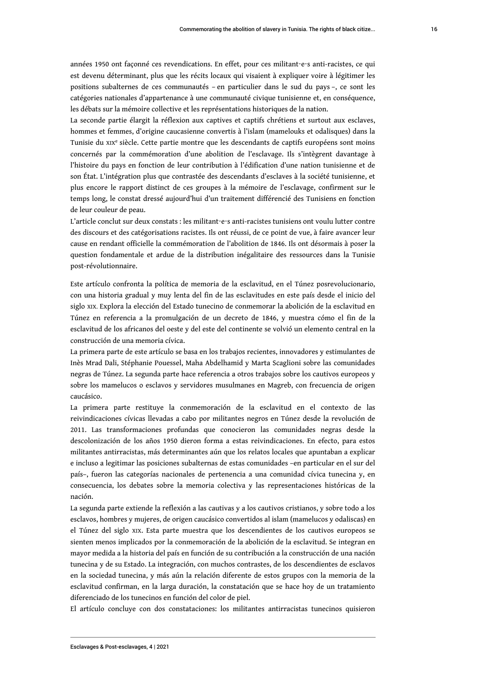années 1950 ont façonné ces revendications. En effet, pour ces militant⋅e⋅s anti-racistes, ce qui est devenu déterminant, plus que les récits locaux qui visaient à expliquer voire à légitimer les positions subalternes de ces communautés – en particulier dans le sud du pays –, ce sont les catégories nationales d'appartenance à une communauté civique tunisienne et, en conséquence, les débats sur la mémoire collective et les représentations historiques de la nation.

La seconde partie élargit la réflexion aux captives et captifs chrétiens et surtout aux esclaves, hommes et femmes, d'origine caucasienne convertis à l'islam (mamelouks et odalisques) dans la Tunisie du xıx<sup>e</sup> siècle. Cette partie montre que les descendants de captifs européens sont moins concernés par la commémoration d'une abolition de l'esclavage. Ils s'intègrent davantage à l'histoire du pays en fonction de leur contribution à l'édification d'une nation tunisienne et de son État. L'intégration plus que contrastée des descendants d'esclaves à la société tunisienne, et plus encore le rapport distinct de ces groupes à la mémoire de l'esclavage, confirment sur le temps long, le constat dressé aujourd'hui d'un traitement différencié des Tunisiens en fonction de leur couleur de peau.

L'article conclut sur deux constats : les militant⋅e⋅s anti-racistes tunisiens ont voulu lutter contre des discours et des catégorisations racistes. Ils ont réussi, de ce point de vue, à faire avancer leur cause en rendant officielle la commémoration de l'abolition de 1846. Ils ont désormais à poser la question fondamentale et ardue de la distribution inégalitaire des ressources dans la Tunisie post-révolutionnaire.

Este artículo confronta la política de memoria de la esclavitud, en el Túnez posrevolucionario, con una historia gradual y muy lenta del fin de las esclavitudes en este país desde el inicio del siglo XIX. Explora la elección del Estado tunecino de conmemorar la abolición de la esclavitud en Túnez en referencia a la promulgación de un decreto de 1846, y muestra cómo el fin de la esclavitud de los africanos del oeste y del este del continente se volvió un elemento central en la construcción de una memoria cívica.

La primera parte de este artículo se basa en los trabajos recientes, innovadores y estimulantes de Inès Mrad Dali, Stéphanie Pouessel, Maha Abdelhamid y Marta Scaglioni sobre las comunidades negras de Túnez. La segunda parte hace referencia a otros trabajos sobre los cautivos europeos y sobre los mamelucos o esclavos y servidores musulmanes en Magreb, con frecuencia de origen caucásico.

La primera parte restituye la conmemoración de la esclavitud en el contexto de las reivindicaciones cívicas llevadas a cabo por militantes negros en Túnez desde la revolución de 2011. Las transformaciones profundas que conocieron las comunidades negras desde la descolonización de los años 1950 dieron forma a estas reivindicaciones. En efecto, para estos militantes antirracistas, más determinantes aún que los relatos locales que apuntaban a explicar e incluso a legitimar las posiciones subalternas de estas comunidades –en particular en el sur del país–, fueron las categorías nacionales de pertenencia a una comunidad cívica tunecina y, en consecuencia, los debates sobre la memoria colectiva y las representaciones históricas de la nación.

La segunda parte extiende la reflexión a las cautivas y a los cautivos cristianos, y sobre todo a los esclavos, hombres y mujeres, de origen caucásico convertidos al islam (mamelucos y odaliscas) en el Túnez del siglo XIX. Esta parte muestra que los descendientes de los cautivos europeos se sienten menos implicados por la conmemoración de la abolición de la esclavitud. Se integran en mayor medida a la historia del país en función de su contribución a la construcción de una nación tunecina y de su Estado. La integración, con muchos contrastes, de los descendientes de esclavos en la sociedad tunecina, y más aún la relación diferente de estos grupos con la memoria de la esclavitud confirman, en la larga duración, la constatación que se hace hoy de un tratamiento diferenciado de los tunecinos en función del color de piel.

El artículo concluye con dos constataciones: los militantes antirracistas tunecinos quisieron